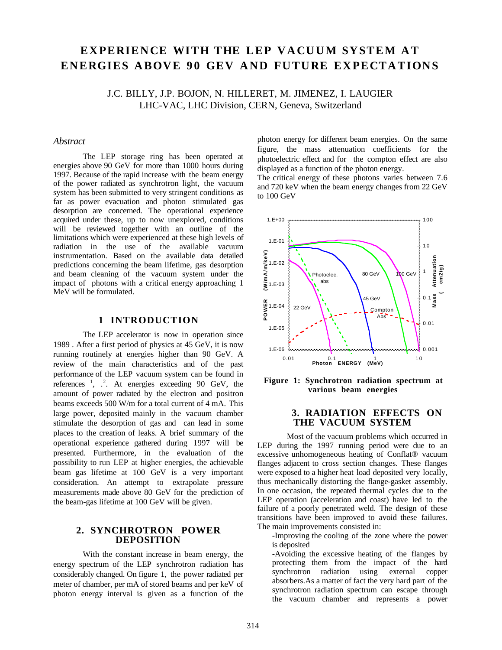# EXPERIENCE WITH THE LEP VACUUM SYSTEM AT **ENERGIES ABOVE 90 GEV AND FUTURE EXPECTATIONS**

J.C. BILLY, J.P. BOJON, N. HILLERET, M. JIMENEZ, I. LAUGIER LHC-VAC, LHC Division, CERN, Geneva, Switzerland

## *Abstract*

The LEP storage ring has been operated at energies above 90 GeV for more than 1000 hours during 1997. Because of the rapid increase with the beam energy of the power radiated as synchrotron light, the vacuum system has been submitted to very stringent conditions as far as power evacuation and photon stimulated gas desorption are concerned. The operational experience acquired under these, up to now unexplored, conditions will be reviewed together with an outline of the limitations which were experienced at these high levels of radiation in the use of the available vacuum instrumentation. Based on the available data detailed predictions concerning the beam lifetime, gas desorption and beam cleaning of the vacuum system under the impact of photons with a critical energy approaching 1 MeV will be formulated.

## **1 INTRODUCTION**

The LEP accelerator is now in operation since 1989 . After a first period of physics at 45 GeV, it is now running routinely at energies higher than 90 GeV. A review of the main characteristics and of the past performance of the LEP vacuum system can be found in references  $\frac{1}{2}$ ,  $\frac{2}{2}$ . At energies exceeding 90 GeV, the amount of power radiated by the electron and positron beams exceeds 500 W/m for a total current of 4 mA. This large power, deposited mainly in the vacuum chamber stimulate the desorption of gas and can lead in some places to the creation of leaks. A brief summary of the operational experience gathered during 1997 will be presented. Furthermore, in the evaluation of the possibility to run LEP at higher energies, the achievable beam gas lifetime at 100 GeV is a very important consideration. An attempt to extrapolate pressure measurements made above 80 GeV for the prediction of the beam-gas lifetime at 100 GeV will be given.

### **2. SYNCHROTRON POWER DEPOSITION**

With the constant increase in beam energy, the energy spectrum of the LEP synchrotron radiation has considerably changed. On figure 1, the power radiated per meter of chamber, per mA of stored beams and per keV of photon energy interval is given as a function of the

photon energy for different beam energies. On the same figure, the mass attenuation coefficients for the photoelectric effect and for the compton effect are also displayed as a function of the photon energy.

The critical energy of these photons varies between 7.6 and 720 keV when the beam energy changes from 22 GeV to 100 GeV



**Figure 1: Synchrotron radiation spectrum at various beam energies**

## **3. RADIATION EFFECTS ON THE VACUUM SYSTEM**

Most of the vacuum problems which occurred in LEP during the 1997 running period were due to an excessive unhomogeneous heating of Conflat® vacuum flanges adjacent to cross section changes. These flanges were exposed to a higher heat load deposited very locally, thus mechanically distorting the flange-gasket assembly. In one occasion, the repeated thermal cycles due to the LEP operation (acceleration and coast) have led to the failure of a poorly penetrated weld. The design of these transitions have been improved to avoid these failures. The main improvements consisted in:

-Improving the cooling of the zone where the power is deposited

-Avoiding the excessive heating of the flanges by protecting them from the impact of the hard synchrotron radiation using external copper absorbers.As a matter of fact the very hard part of the synchrotron radiation spectrum can escape through the vacuum chamber and represents a power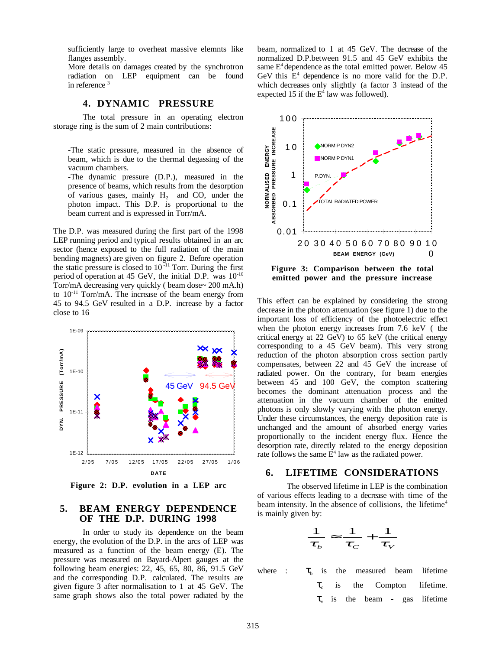sufficiently large to overheat massive elemnts like flanges assembly.

More details on damages created by the synchrotron radiation on LEP equipment can be found in reference<sup>3</sup>

## **4. DYNAMIC PRESSURE**

The total pressure in an operating electron storage ring is the sum of 2 main contributions:

-The static pressure, measured in the absence of beam, which is due to the thermal degassing of the vacuum chambers.

-The dynamic pressure (D.P.), measured in the presence of beams, which results from the desorption of various gases, mainly  $H_2$  and CO, under the photon impact. This D.P. is proportional to the beam current and is expressed in Torr/mA.

The D.P. was measured during the first part of the 1998 LEP running period and typical results obtained in an arc sector (hence exposed to the full radiation of the main bending magnets) are given on figure 2. Before operation the static pressure is closed to  $10^{-11}$  Torr. During the first period of operation at 45 GeV, the initial D.P. was  $10^{-10}$ Torr/mA decreasing very quickly ( beam dose~ 200 mA.h) to  $10^{-11}$  Torr/mA. The increase of the beam energy from 45 to 94.5 GeV resulted in a D.P. increase by a factor close to 16



**Figure 2: D.P. evolution in a LEP arc**

### **5. BEAM ENERGY DEPENDENCE OF THE D.P. DURING 1998**

In order to study its dependence on the beam energy, the evolution of the D.P. in the arcs of LEP was measured as a function of the beam energy (E). The pressure was measured on Bayard-Alpert gauges at the following beam energies: 22, 45, 65, 80, 86, 91.5 GeV and the corresponding D.P. calculated. The results are given figure 3 after normalisation to 1 at 45 GeV. The same graph shows also the total power radiated by the beam, normalized to 1 at 45 GeV. The decrease of the normalized D.P.between 91.5 and 45 GeV exhibits the same  $E<sup>4</sup>$  dependence as the total emitted power. Below 45 GeV this  $E<sup>4</sup>$  dependence is no more valid for the D.P. which decreases only slightly (a factor 3 instead of the expected 15 if the  $E^4$  law was followed).



This effect can be explained by considering the strong decrease in the photon attenuation (see figure 1) due to the important loss of efficiency of the photoelectric effect when the photon energy increases from 7.6 keV ( the critical energy at 22 GeV) to 65 keV (the critical energy corresponding to a 45 GeV beam). This very strong reduction of the photon absorption cross section partly compensates, between 22 and 45 GeV the increase of radiated power. On the contrary, for beam energies between 45 and 100 GeV, the compton scattering becomes the dominant attenuation process and the attenuation in the vacuum chamber of the emitted photons is only slowly varying with the photon energy. Under these circumstances, the energy deposition rate is unchanged and the amount of absorbed energy varies proportionally to the incident energy flux. Hence the desorption rate, directly related to the energy deposition rate follows the same  $E^4$  law as the radiated power.

#### **6. LIFETIME CONSIDERATIONS**

The observed lifetime in LEP is the combination of various effects leading to a decrease with time of the beam intensity. In the absence of collisions, the lifetime<sup>4</sup> is mainly given by:

$$
\frac{1}{\tau_b} \approx \frac{1}{\tau_c} + \frac{1}{\tau_v}
$$

where :  $\tau_{\rm h}$  is the measured beam lifetime  $\tau_c$  is the Compton lifetime.  $\tau_{v}$  is the beam - gas lifetime